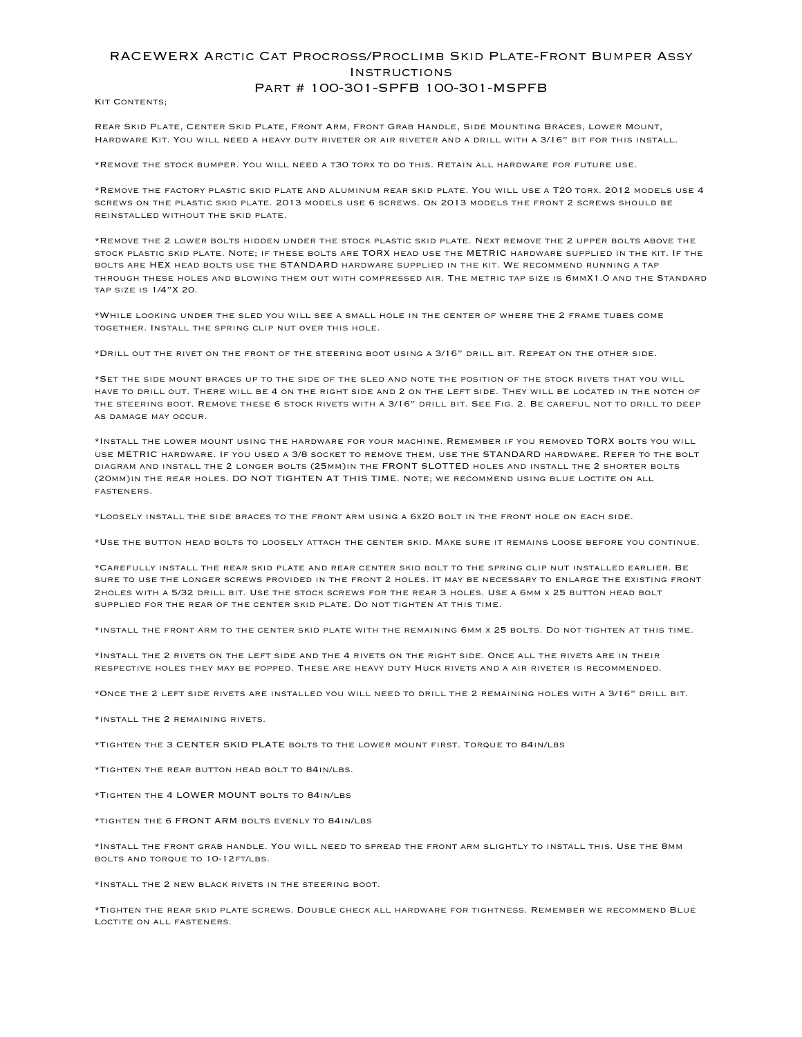## RACEWERX Arctic Cat Procross/Proclimb Skid Plate-Front Bumper Assy **INSTRUCTIONS** Part # 100-301-SPFB 100-301-MSPFB

KIT CONTENTS;

Rear Skid Plate, Center Skid Plate, Front Arm, Front Grab Handle, Side Mounting Braces, Lower Mount, Hardware Kit. You will need a heavy duty riveter or air riveter and a drill with a 3/16" bit for this install.

\*Remove the stock bumper. You will need a t30 torx to do this. Retain all hardware for future use.

\*Remove the factory plastic skid plate and aluminum rear skid plate. You will use a T20 torx. 2012 models use 4 screws on the plastic skid plate. 2013 models use 6 screws. On 2013 models the front 2 screws should be reinstalled without the skid plate.

\*Remove the 2 lower bolts hidden under the stock plastic skid plate. Next remove the 2 upper bolts above the stock plastic skid plate. Note; if these bolts are TORX head use the METRIC hardware supplied in the kit. If the bolts are HEX head bolts use the STANDARD hardware supplied in the kit. We recommend running a tap through these holes and blowing them out with compressed air. The metric tap size is 6mmX1.0 and the Standard tap size is 1/4"X 20.

\*While looking under the sled you will see a small hole in the center of where the 2 frame tubes come together. Install the spring clip nut over this hole.

\*Drill out the rivet on the front of the steering boot using a 3/16" drill bit. Repeat on the other side.

\*Set the side mount braces up to the side of the sled and note the position of the stock rivets that you will have to drill out. There will be 4 on the right side and 2 on the left side. They will be located in the notch of the steering boot. Remove these 6 stock rivets with a 3/16" drill bit. See Fig. 2. Be careful not to drill to deep as damage may occur.

\*Install the lower mount using the hardware for your machine. Remember if you removed TORX bolts you will use METRIC hardware. If you used a 3/8 socket to remove them, use the STANDARD hardware. Refer to the bolt diagram and install the 2 longer bolts (25mm)in the FRONT SLOTTED holes and install the 2 shorter bolts (20mm)in the rear holes. DO NOT TIGHTEN AT THIS TIME. Note; we recommend using blue loctite on all fasteners.

\*Loosely install the side braces to the front arm using a 6x20 bolt in the front hole on each side.

\*Use the button head bolts to loosely attach the center skid. Make sure it remains loose before you continue.

\*Carefully install the rear skid plate and rear center skid bolt to the spring clip nut installed earlier. Be sure to use the longer screws provided in the front 2 holes. It may be necessary to enlarge the existing front 2holes with a 5/32 drill bit. Use the stock screws for the rear 3 holes. Use a 6mm x 25 button head bolt supplied for the rear of the center skid plate. Do not tighten at this time.

\*install the front arm to the center skid plate with the remaining 6mm x 25 bolts. Do not tighten at this time.

\*Install the 2 rivets on the left side and the 4 rivets on the right side. Once all the rivets are in their respective holes they may be popped. These are heavy duty Huck rivets and a air riveter is recommended.

\*Once the 2 left side rivets are installed you will need to drill the 2 remaining holes with a 3/16" drill bit.

\*install the 2 remaining rivets.

\*Tighten the 3 CENTER SKID PLATE bolts to the lower mount first. Torque to 84in/lbs

\*Tighten the rear button head bolt to 84in/lbs.

\*Tighten the 4 LOWER MOUNT bolts to 84in/lbs

\*tighten the 6 FRONT ARM bolts evenly to 84in/lbs

\*Install the front grab handle. You will need to spread the front arm slightly to install this. Use the 8mm bolts and torque to 10-12ft/lbs.

\*Install the 2 new black rivets in the steering boot.

\*Tighten the rear skid plate screws. Double check all hardware for tightness. Remember we recommend Blue Loctite on all fasteners.